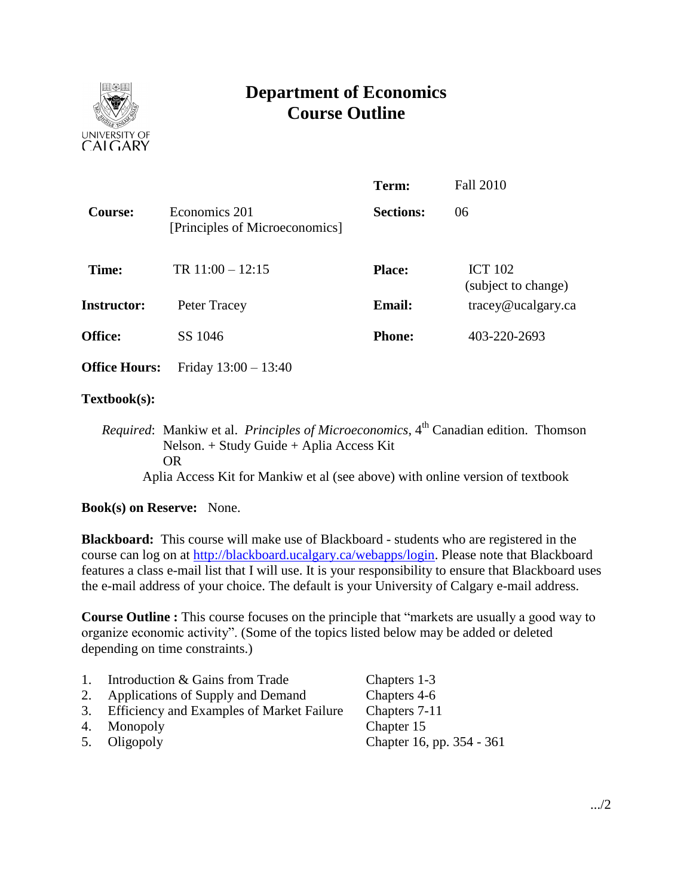

# **Department of Economics Course Outline**

|                      |                                                 | Term:            | <b>Fall 2010</b>                                |
|----------------------|-------------------------------------------------|------------------|-------------------------------------------------|
| <b>Course:</b>       | Economics 201<br>[Principles of Microeconomics] | <b>Sections:</b> | 06                                              |
| Time:                | TR $11:00 - 12:15$                              | <b>Place:</b>    | <b>ICT 102</b><br>(subject to change)           |
| <b>Instructor:</b>   | Peter Tracey                                    | <b>Email:</b>    | $trace\$ <i>e</i> $u$ $c$ $a$ $g$ $arc$ $c$ $a$ |
| <b>Office:</b>       | SS 1046                                         | <b>Phone:</b>    | 403-220-2693                                    |
| <b>Office Hours:</b> | Friday $13:00 - 13:40$                          |                  |                                                 |

## **Textbook(s):**

*Required*: Mankiw et al. *Principles of Microeconomics*, 4<sup>th</sup> Canadian edition. Thomson Nelson. + Study Guide + Aplia Access Kit OR Aplia Access Kit for Mankiw et al (see above) with online version of textbook

## **Book(s) on Reserve:** None.

**Blackboard:** This course will make use of Blackboard - students who are registered in the course can log on at [http://blackboard.ucalgary.ca/webapps/login.](http://blackboard.ucalgary.ca/webapps/login) Please note that Blackboard features a class e-mail list that I will use. It is your responsibility to ensure that Blackboard uses the e-mail address of your choice. The default is your University of Calgary e-mail address.

**Course Outline :** This course focuses on the principle that "markets are usually a good way to organize economic activity". (Some of the topics listed below may be added or deleted depending on time constraints.)

| 1. | Introduction & Gains from Trade              | Chapters 1-3              |
|----|----------------------------------------------|---------------------------|
|    | 2. Applications of Supply and Demand         | Chapters 4-6              |
|    | 3. Efficiency and Examples of Market Failure | Chapters 7-11             |
|    | 4. Monopoly                                  | Chapter 15                |
|    | 5. Oligopoly                                 | Chapter 16, pp. 354 - 361 |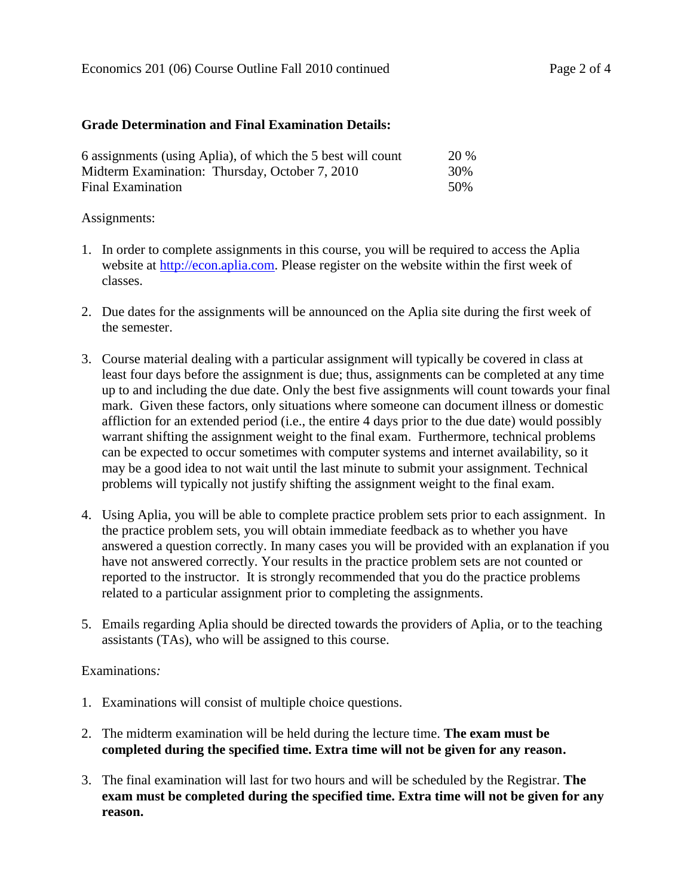### **Grade Determination and Final Examination Details:**

| 6 assignments (using Aplia), of which the 5 best will count | <b>20 %</b> |
|-------------------------------------------------------------|-------------|
| Midterm Examination: Thursday, October 7, 2010              | 30%         |
| Final Examination                                           | 50%         |

### Assignments:

- 1. In order to complete assignments in this course, you will be required to access the Aplia website at [http://econ.aplia.com.](http://econ.aplia.com/) Please register on the website within the first week of classes.
- 2. Due dates for the assignments will be announced on the Aplia site during the first week of the semester.
- 3. Course material dealing with a particular assignment will typically be covered in class at least four days before the assignment is due; thus, assignments can be completed at any time up to and including the due date. Only the best five assignments will count towards your final mark. Given these factors, only situations where someone can document illness or domestic affliction for an extended period (i.e., the entire 4 days prior to the due date) would possibly warrant shifting the assignment weight to the final exam. Furthermore, technical problems can be expected to occur sometimes with computer systems and internet availability, so it may be a good idea to not wait until the last minute to submit your assignment. Technical problems will typically not justify shifting the assignment weight to the final exam.
- 4. Using Aplia, you will be able to complete practice problem sets prior to each assignment. In the practice problem sets, you will obtain immediate feedback as to whether you have answered a question correctly. In many cases you will be provided with an explanation if you have not answered correctly. Your results in the practice problem sets are not counted or reported to the instructor. It is strongly recommended that you do the practice problems related to a particular assignment prior to completing the assignments.
- 5. Emails regarding Aplia should be directed towards the providers of Aplia, or to the teaching assistants (TAs), who will be assigned to this course.

#### Examinations*:*

- 1. Examinations will consist of multiple choice questions.
- 2. The midterm examination will be held during the lecture time. **The exam must be completed during the specified time. Extra time will not be given for any reason.**
- 3. The final examination will last for two hours and will be scheduled by the Registrar. **The exam must be completed during the specified time. Extra time will not be given for any reason.**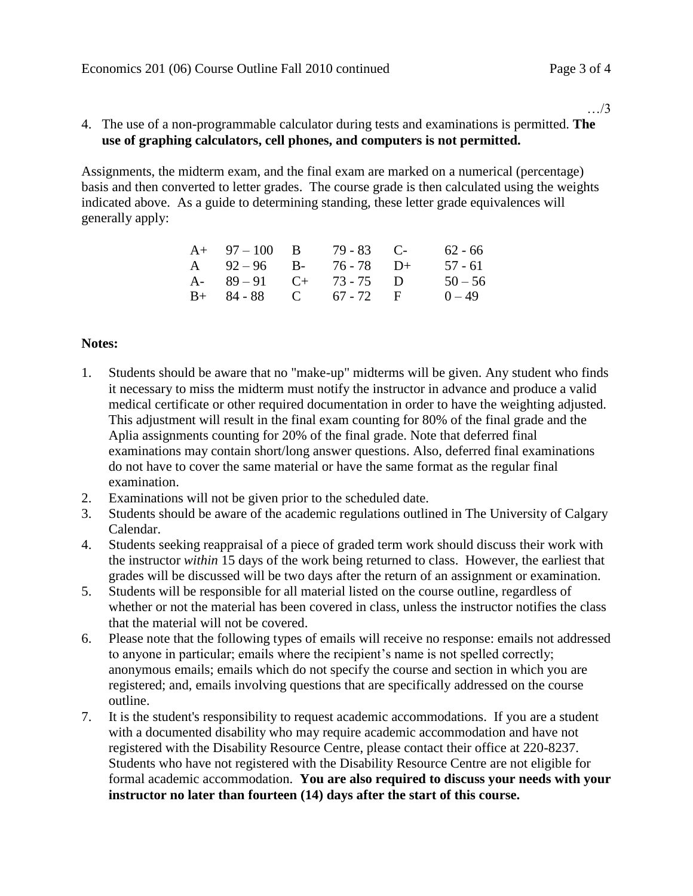…/3

## 4. The use of a non-programmable calculator during tests and examinations is permitted. **The use of graphing calculators, cell phones, and computers is not permitted.**

Assignments, the midterm exam, and the final exam are marked on a numerical (percentage) basis and then converted to letter grades. The course grade is then calculated using the weights indicated above. As a guide to determining standing, these letter grade equivalences will generally apply:

| $A+ 97-100 B$           | $79 - 83$ C- | 62 - 66   |
|-------------------------|--------------|-----------|
| A $92-96$ B- $76-78$ D+ |              | 57 - 61   |
| A- $89-91$ C+ $73-75$ D |              | $50 - 56$ |
| $B+ 84-88$ C 67 - 72 F  |              | $0 - 49$  |

## **Notes:**

- 1. Students should be aware that no "make-up" midterms will be given. Any student who finds it necessary to miss the midterm must notify the instructor in advance and produce a valid medical certificate or other required documentation in order to have the weighting adjusted. This adjustment will result in the final exam counting for 80% of the final grade and the Aplia assignments counting for 20% of the final grade. Note that deferred final examinations may contain short/long answer questions. Also, deferred final examinations do not have to cover the same material or have the same format as the regular final examination.
- 2. Examinations will not be given prior to the scheduled date.
- 3. Students should be aware of the academic regulations outlined in The University of Calgary Calendar.
- 4. Students seeking reappraisal of a piece of graded term work should discuss their work with the instructor *within* 15 days of the work being returned to class. However, the earliest that grades will be discussed will be two days after the return of an assignment or examination.
- 5. Students will be responsible for all material listed on the course outline, regardless of whether or not the material has been covered in class, unless the instructor notifies the class that the material will not be covered.
- 6. Please note that the following types of emails will receive no response: emails not addressed to anyone in particular; emails where the recipient's name is not spelled correctly; anonymous emails; emails which do not specify the course and section in which you are registered; and, emails involving questions that are specifically addressed on the course outline.
- 7. It is the student's responsibility to request academic accommodations. If you are a student with a documented disability who may require academic accommodation and have not registered with the Disability Resource Centre, please contact their office at 220-8237. Students who have not registered with the Disability Resource Centre are not eligible for formal academic accommodation. **You are also required to discuss your needs with your instructor no later than fourteen (14) days after the start of this course.**